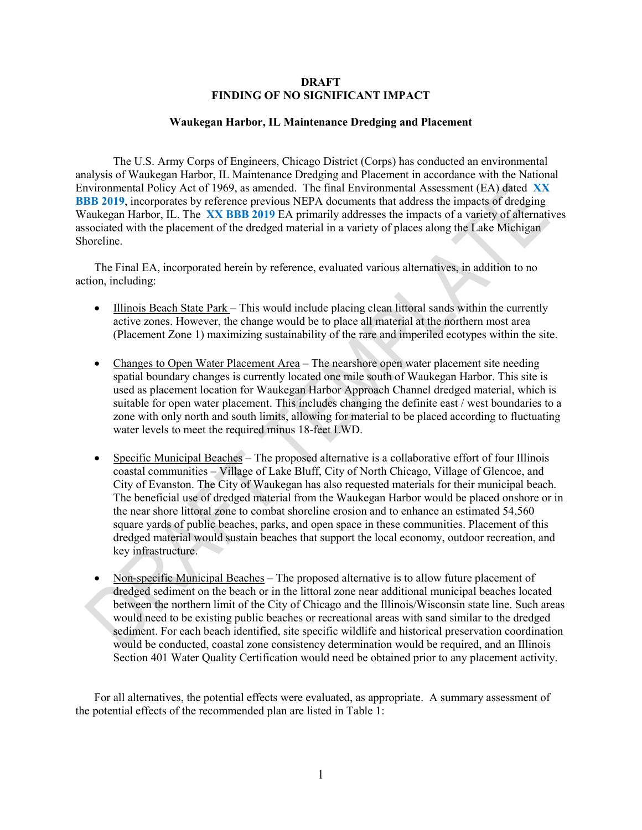## **DRAFT FINDING OF NO SIGNIFICANT IMPACT**

### **Waukegan Harbor, IL Maintenance Dredging and Placement**

The U.S. Army Corps of Engineers, Chicago District (Corps) has conducted an environmental analysis of Waukegan Harbor, IL Maintenance Dredging and Placement in accordance with the National Environmental Policy Act of 1969, as amended. The final Environmental Assessment (EA) dated **XX BBB 2019**, incorporates by reference previous NEPA documents that address the impacts of dredging Waukegan Harbor, IL. The **XX BBB 2019** EA primarily addresses the impacts of a variety of alternatives associated with the placement of the dredged material in a variety of places along the Lake Michigan Shoreline.

The Final EA, incorporated herein by reference, evaluated various alternatives, in addition to no action, including:

- Illinois Beach State Park This would include placing clean littoral sands within the currently active zones. However, the change would be to place all material at the northern most area (Placement Zone 1) maximizing sustainability of the rare and imperiled ecotypes within the site.
- Changes to Open Water Placement Area The nearshore open water placement site needing spatial boundary changes is currently located one mile south of Waukegan Harbor. This site is used as placement location for Waukegan Harbor Approach Channel dredged material, which is suitable for open water placement. This includes changing the definite east / west boundaries to a zone with only north and south limits, allowing for material to be placed according to fluctuating water levels to meet the required minus 18-feet LWD.
- Specific Municipal Beaches The proposed alternative is a collaborative effort of four Illinois coastal communities – Village of Lake Bluff, City of North Chicago, Village of Glencoe, and City of Evanston. The City of Waukegan has also requested materials for their municipal beach. The beneficial use of dredged material from the Waukegan Harbor would be placed onshore or in the near shore littoral zone to combat shoreline erosion and to enhance an estimated 54,560 square yards of public beaches, parks, and open space in these communities. Placement of this dredged material would sustain beaches that support the local economy, outdoor recreation, and key infrastructure.
- Non-specific Municipal Beaches The proposed alternative is to allow future placement of dredged sediment on the beach or in the littoral zone near additional municipal beaches located between the northern limit of the City of Chicago and the Illinois/Wisconsin state line. Such areas would need to be existing public beaches or recreational areas with sand similar to the dredged sediment. For each beach identified, site specific wildlife and historical preservation coordination would be conducted, coastal zone consistency determination would be required, and an Illinois Section 401 Water Quality Certification would need be obtained prior to any placement activity.

For all alternatives, the potential effects were evaluated, as appropriate. A summary assessment of the potential effects of the recommended plan are listed in Table 1: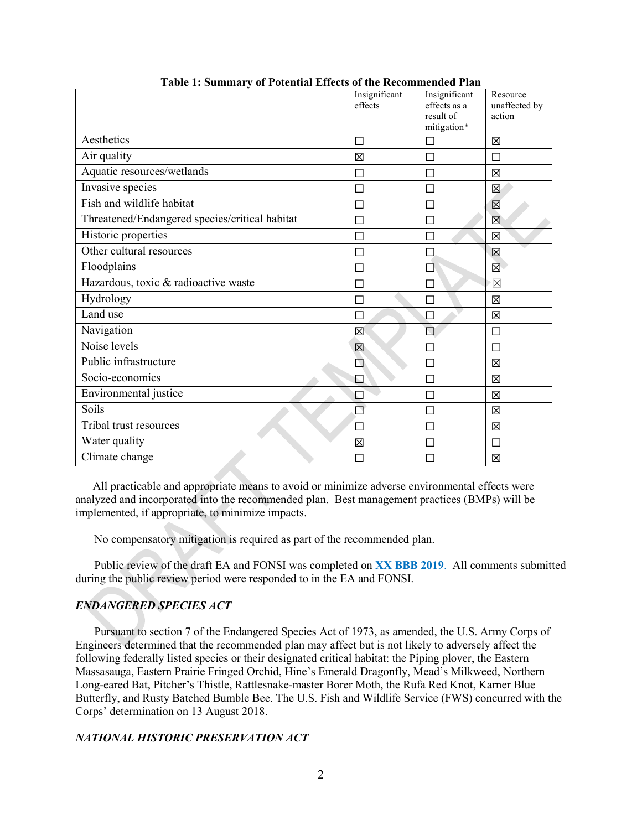|                                                | Insignificant<br>effects | Insignificant<br>effects as a<br>result of<br>mitigation* | Resource<br>unaffected by<br>action |
|------------------------------------------------|--------------------------|-----------------------------------------------------------|-------------------------------------|
| Aesthetics                                     | $\Box$                   | П                                                         | 区                                   |
| Air quality                                    | 区                        | П                                                         | П                                   |
| Aquatic resources/wetlands                     | $\Box$                   |                                                           | 冈                                   |
| Invasive species                               | $\Box$                   | $\Box$                                                    | 区                                   |
| Fish and wildlife habitat                      | П                        | П                                                         | 区                                   |
| Threatened/Endangered species/critical habitat | $\Box$                   | П                                                         | 区                                   |
| Historic properties                            | $\Box$                   |                                                           | 区                                   |
| Other cultural resources                       | $\Box$                   | П                                                         | 区                                   |
| Floodplains                                    | П                        | ΙI                                                        | 図                                   |
| Hazardous, toxic & radioactive waste           | П                        | П                                                         | $\boxtimes$                         |
| Hydrology                                      | $\Box$                   |                                                           | 区                                   |
| Land use                                       | П                        |                                                           | 区                                   |
| Navigation                                     | 区                        | П                                                         | $\Box$                              |
| Noise levels                                   | 区                        |                                                           | П                                   |
| Public infrastructure                          | $\Box$                   | П                                                         | 区                                   |
| Socio-economics                                | E                        | П                                                         | 区                                   |
| Environmental justice                          | $\Box$                   | П                                                         | 冈                                   |
| Soils                                          | ◘                        | П                                                         | 区                                   |
| Tribal trust resources                         | П                        |                                                           | 区                                   |
| Water quality                                  | 区                        | П                                                         | $\Box$                              |
| Climate change                                 | П                        |                                                           | 区                                   |

**Table 1: Summary of Potential Effects of the Recommended Plan**

 All practicable and appropriate means to avoid or minimize adverse environmental effects were analyzed and incorporated into the recommended plan. Best management practices (BMPs) will be implemented, if appropriate, to minimize impacts.

No compensatory mitigation is required as part of the recommended plan.

Public review of the draft EA and FONSI was completed on **XX BBB 2019**. All comments submitted during the public review period were responded to in the EA and FONSI.

# *ENDANGERED SPECIES ACT*

Pursuant to section 7 of the Endangered Species Act of 1973, as amended, the U.S. Army Corps of Engineers determined that the recommended plan may affect but is not likely to adversely affect the following federally listed species or their designated critical habitat: the Piping plover, the Eastern Massasauga, Eastern Prairie Fringed Orchid, Hine's Emerald Dragonfly, Mead's Milkweed, Northern Long-eared Bat, Pitcher's Thistle, Rattlesnake-master Borer Moth, the Rufa Red Knot, Karner Blue Butterfly, and Rusty Batched Bumble Bee. The U.S. Fish and Wildlife Service (FWS) concurred with the Corps' determination on 13 August 2018.

# *NATIONAL HISTORIC PRESERVATION ACT*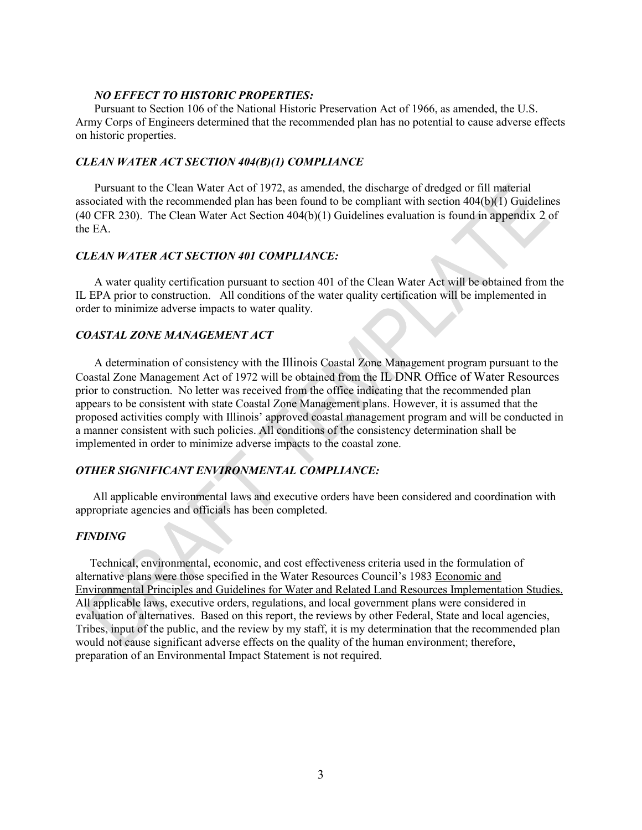### *NO EFFECT TO HISTORIC PROPERTIES:*

Pursuant to Section 106 of the National Historic Preservation Act of 1966, as amended, the U.S. Army Corps of Engineers determined that the recommended plan has no potential to cause adverse effects on historic properties.

## *CLEAN WATER ACT SECTION 404(B)(1) COMPLIANCE*

Pursuant to the Clean Water Act of 1972, as amended, the discharge of dredged or fill material associated with the recommended plan has been found to be compliant with section 404(b)(1) Guidelines (40 CFR 230). The Clean Water Act Section 404(b)(1) Guidelines evaluation is found in appendix 2 of the EA.

## *CLEAN WATER ACT SECTION 401 COMPLIANCE:*

A water quality certification pursuant to section 401 of the Clean Water Act will be obtained from the IL EPA prior to construction. All conditions of the water quality certification will be implemented in order to minimize adverse impacts to water quality.

### *COASTAL ZONE MANAGEMENT ACT*

A determination of consistency with the Illinois Coastal Zone Management program pursuant to the Coastal Zone Management Act of 1972 will be obtained from the IL DNR Office of Water Resources prior to construction. No letter was received from the office indicating that the recommended plan appears to be consistent with state Coastal Zone Management plans. However, it is assumed that the proposed activities comply with Illinois' approved coastal management program and will be conducted in a manner consistent with such policies. All conditions of the consistency determination shall be implemented in order to minimize adverse impacts to the coastal zone.

### *OTHER SIGNIFICANT ENVIRONMENTAL COMPLIANCE:*

All applicable environmental laws and executive orders have been considered and coordination with appropriate agencies and officials has been completed.

#### *FINDING*

 Technical, environmental, economic, and cost effectiveness criteria used in the formulation of alternative plans were those specified in the Water Resources Council's 1983 Economic and Environmental Principles and Guidelines for Water and Related Land Resources Implementation Studies. All applicable laws, executive orders, regulations, and local government plans were considered in evaluation of alternatives. Based on this report, the reviews by other Federal, State and local agencies, Tribes, input of the public, and the review by my staff, it is my determination that the recommended plan would not cause significant adverse effects on the quality of the human environment; therefore, preparation of an Environmental Impact Statement is not required.